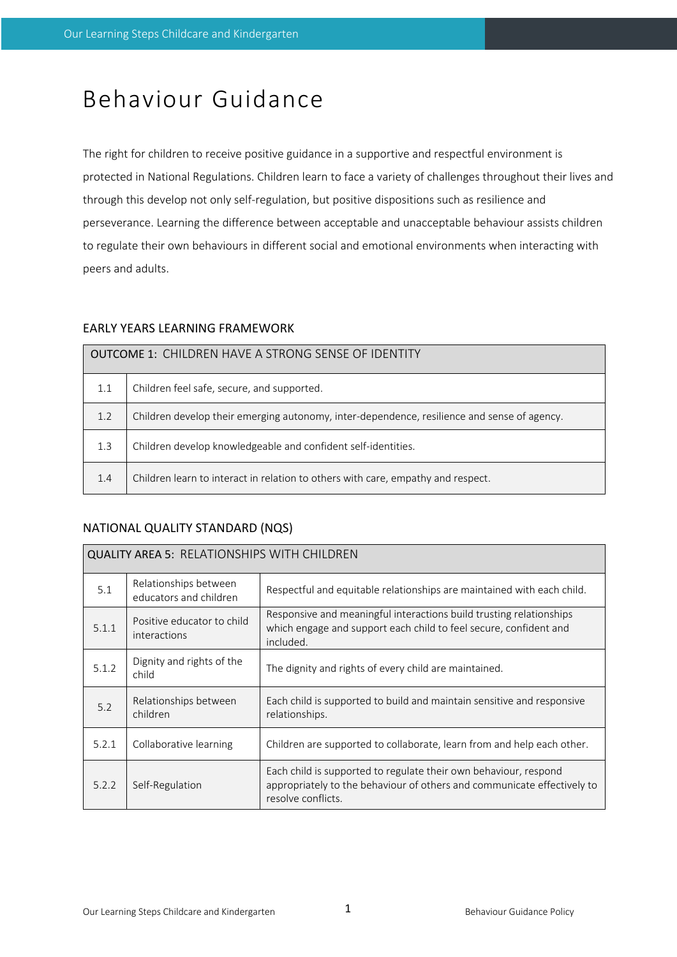# Behaviour Guidance

The right for children to receive positive guidance in a supportive and respectful environment is protected in National Regulations. Children learn to face a variety of challenges throughout their lives and through this develop not only self-regulation, but positive dispositions such as resilience and perseverance. Learning the difference between acceptable and unacceptable behaviour assists children to regulate their own behaviours in different social and emotional environments when interacting with peers and adults.

# EARLY YEARS LEARNING FRAMEWORK

| <b>OUTCOME 1: CHILDREN HAVE A STRONG SENSE OF IDENTITY</b> |                                                                                             |  |  |  |
|------------------------------------------------------------|---------------------------------------------------------------------------------------------|--|--|--|
| 1.1                                                        | Children feel safe, secure, and supported.                                                  |  |  |  |
| 1.2                                                        | Children develop their emerging autonomy, inter-dependence, resilience and sense of agency. |  |  |  |
| 1.3                                                        | Children develop knowledgeable and confident self-identities.                               |  |  |  |
| 1.4                                                        | Children learn to interact in relation to others with care, empathy and respect.            |  |  |  |

# NATIONAL QUALITY STANDARD (NQS)

| <b>QUALITY AREA 5: RELATIONSHIPS WITH CHILDREN</b> |                                                 |                                                                                                                                                                   |  |  |  |
|----------------------------------------------------|-------------------------------------------------|-------------------------------------------------------------------------------------------------------------------------------------------------------------------|--|--|--|
| 5.1                                                | Relationships between<br>educators and children | Respectful and equitable relationships are maintained with each child.                                                                                            |  |  |  |
| 5.1.1                                              | Positive educator to child<br>interactions      | Responsive and meaningful interactions build trusting relationships<br>which engage and support each child to feel secure, confident and<br>included.             |  |  |  |
| 5.1.2                                              | Dignity and rights of the<br>child              | The dignity and rights of every child are maintained.                                                                                                             |  |  |  |
| 5.2                                                | Relationships between<br>children               | Each child is supported to build and maintain sensitive and responsive<br>relationships.                                                                          |  |  |  |
| 5.2.1                                              | Collaborative learning                          | Children are supported to collaborate, learn from and help each other.                                                                                            |  |  |  |
| 5.2.2                                              | Self-Regulation                                 | Each child is supported to regulate their own behaviour, respond<br>appropriately to the behaviour of others and communicate effectively to<br>resolve conflicts. |  |  |  |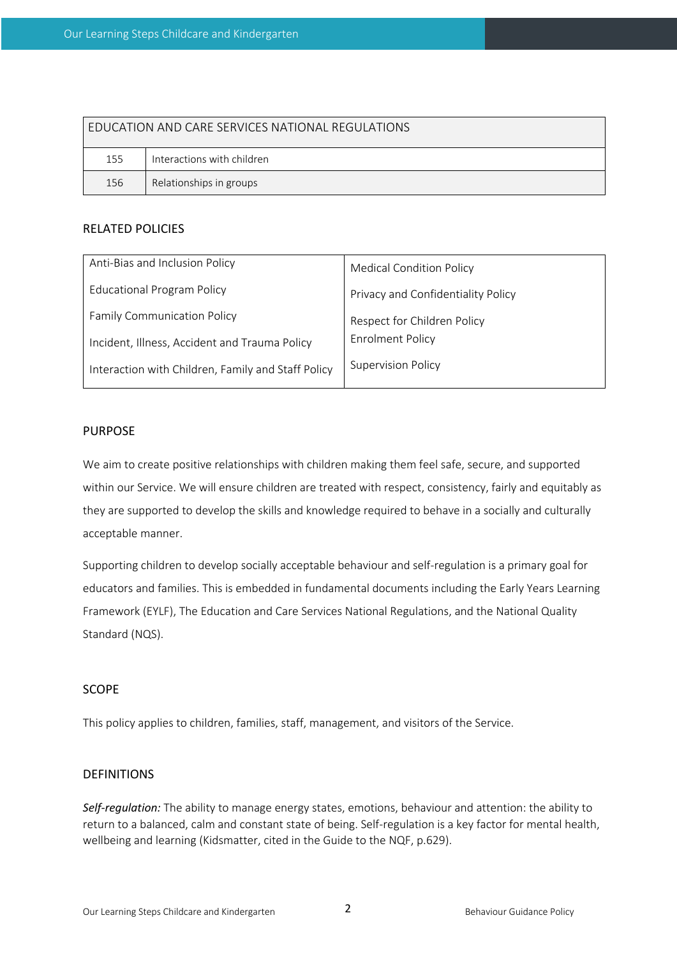| <b>FDUCATION AND CARE SERVICES NATIONAL REGULATIONS</b> |                            |  |  |  |  |
|---------------------------------------------------------|----------------------------|--|--|--|--|
| 155                                                     | Interactions with children |  |  |  |  |
| 156                                                     | Relationships in groups    |  |  |  |  |

## RELATED POLICIES

| Anti-Bias and Inclusion Policy                     | <b>Medical Condition Policy</b>    |  |
|----------------------------------------------------|------------------------------------|--|
| <b>Educational Program Policy</b>                  | Privacy and Confidentiality Policy |  |
| <b>Family Communication Policy</b>                 | Respect for Children Policy        |  |
| Incident, Illness, Accident and Trauma Policy      | <b>Enrolment Policy</b>            |  |
| Interaction with Children, Family and Staff Policy | <b>Supervision Policy</b>          |  |

## PURPOSE

We aim to create positive relationships with children making them feel safe, secure, and supported within our Service. We will ensure children are treated with respect, consistency, fairly and equitably as they are supported to develop the skills and knowledge required to behave in a socially and culturally acceptable manner.

Supporting children to develop socially acceptable behaviour and self-regulation is a primary goal for educators and families. This is embedded in fundamental documents including the Early Years Learning Framework (EYLF), The Education and Care Services National Regulations, and the National Quality Standard (NQS).

## SCOPE

This policy applies to children, families, staff, management, and visitors of the Service.

#### DEFINITIONS

*Self-regulation:* The ability to manage energy states, emotions, behaviour and attention: the ability to return to a balanced, calm and constant state of being. Self-regulation is a key factor for mental health, wellbeing and learning (Kidsmatter, cited in the Guide to the NQF, p.629).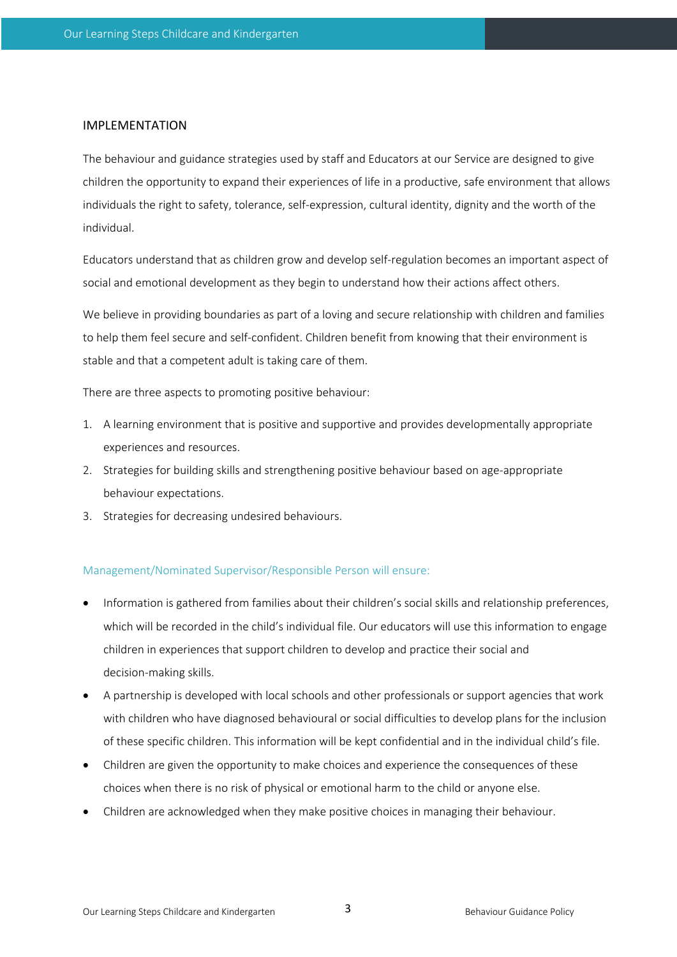#### IMPLEMENTATION

The behaviour and guidance strategies used by staff and Educators at our Service are designed to give children the opportunity to expand their experiences of life in a productive, safe environment that allows individuals the right to safety, tolerance, self-expression, cultural identity, dignity and the worth of the individual.

Educators understand that as children grow and develop self-regulation becomes an important aspect of social and emotional development as they begin to understand how their actions affect others.

We believe in providing boundaries as part of a loving and secure relationship with children and families to help them feel secure and self-confident. Children benefit from knowing that their environment is stable and that a competent adult is taking care of them.

There are three aspects to promoting positive behaviour:

- 1. A learning environment that is positive and supportive and provides developmentally appropriate experiences and resources.
- 2. Strategies for building skills and strengthening positive behaviour based on age-appropriate behaviour expectations.
- 3. Strategies for decreasing undesired behaviours.

#### Management/Nominated Supervisor/Responsible Person will ensure:

- Information is gathered from families about their children's social skills and relationship preferences, which will be recorded in the child's individual file. Our educators will use this information to engage children in experiences that support children to develop and practice their social and decision-making skills.
- A partnership is developed with local schools and other professionals or support agencies that work with children who have diagnosed behavioural or social difficulties to develop plans for the inclusion of these specific children. This information will be kept confidential and in the individual child's file.
- Children are given the opportunity to make choices and experience the consequences of these choices when there is no risk of physical or emotional harm to the child or anyone else.
- Children are acknowledged when they make positive choices in managing their behaviour.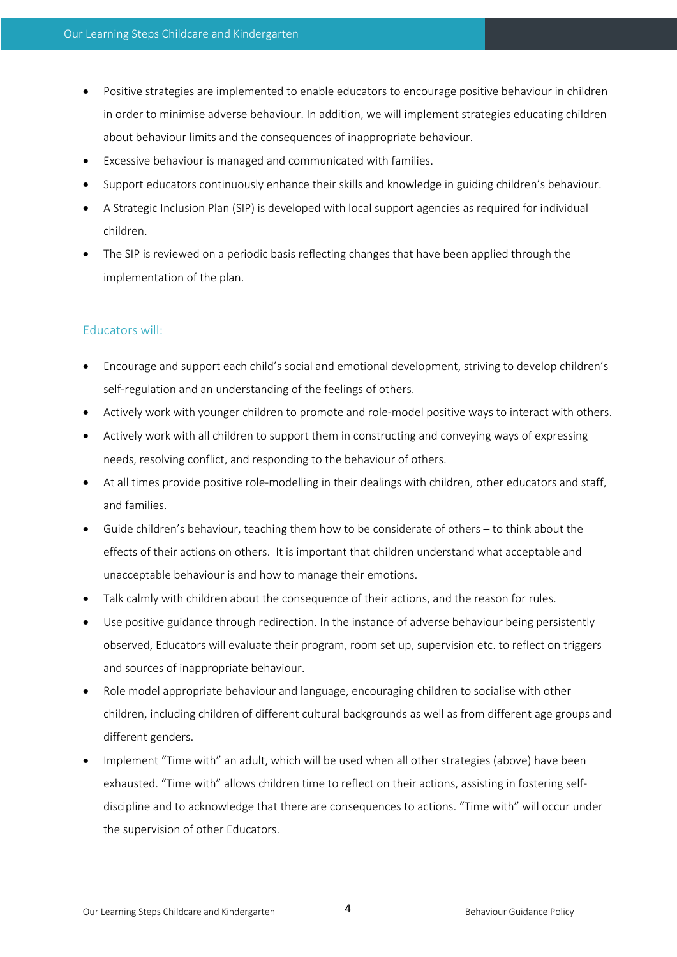- Positive strategies are implemented to enable educators to encourage positive behaviour in children in order to minimise adverse behaviour. In addition, we will implement strategies educating children about behaviour limits and the consequences of inappropriate behaviour.
- Excessive behaviour is managed and communicated with families.
- Support educators continuously enhance their skills and knowledge in guiding children's behaviour.
- A Strategic Inclusion Plan (SIP) is developed with local support agencies as required for individual children.
- The SIP is reviewed on a periodic basis reflecting changes that have been applied through the implementation of the plan.

# Educators will:

- Encourage and support each child's social and emotional development, striving to develop children's self-regulation and an understanding of the feelings of others.
- Actively work with younger children to promote and role-model positive ways to interact with others.
- Actively work with all children to support them in constructing and conveying ways of expressing needs, resolving conflict, and responding to the behaviour of others.
- At all times provide positive role-modelling in their dealings with children, other educators and staff, and families.
- Guide children's behaviour, teaching them how to be considerate of others to think about the effects of their actions on others. It is important that children understand what acceptable and unacceptable behaviour is and how to manage their emotions.
- Talk calmly with children about the consequence of their actions, and the reason for rules.
- Use positive guidance through redirection. In the instance of adverse behaviour being persistently observed, Educators will evaluate their program, room set up, supervision etc. to reflect on triggers and sources of inappropriate behaviour.
- Role model appropriate behaviour and language, encouraging children to socialise with other children, including children of different cultural backgrounds as well as from different age groups and different genders.
- Implement "Time with" an adult, which will be used when all other strategies (above) have been exhausted. "Time with" allows children time to reflect on their actions, assisting in fostering selfdiscipline and to acknowledge that there are consequences to actions. "Time with" will occur under the supervision of other Educators.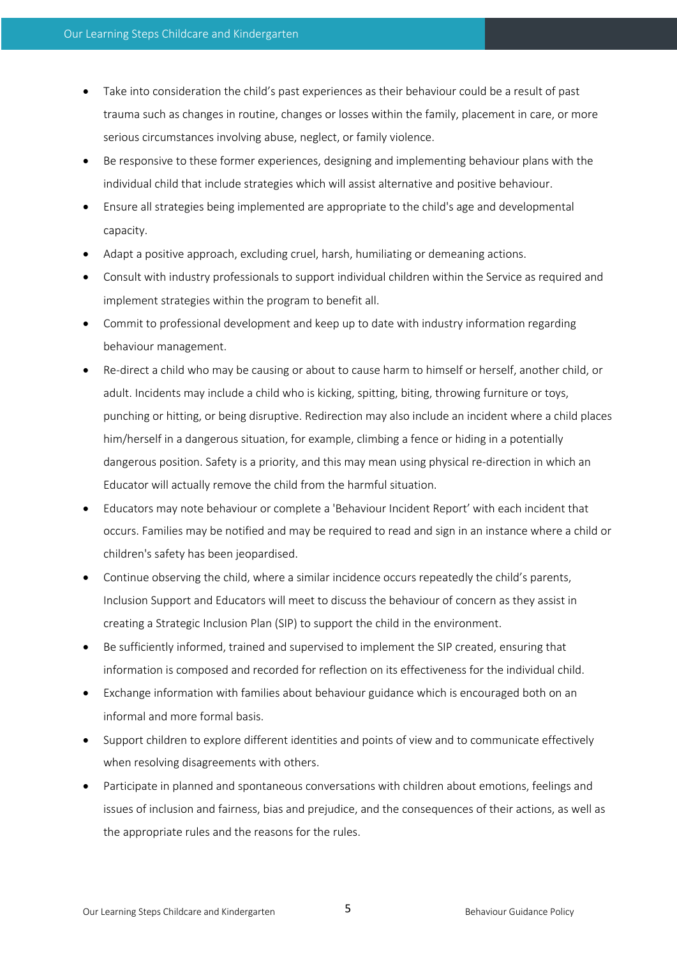- Take into consideration the child's past experiences as their behaviour could be a result of past trauma such as changes in routine, changes or losses within the family, placement in care, or more serious circumstances involving abuse, neglect, or family violence.
- Be responsive to these former experiences, designing and implementing behaviour plans with the individual child that include strategies which will assist alternative and positive behaviour.
- Ensure all strategies being implemented are appropriate to the child's age and developmental capacity.
- Adapt a positive approach, excluding cruel, harsh, humiliating or demeaning actions.
- Consult with industry professionals to support individual children within the Service as required and implement strategies within the program to benefit all.
- Commit to professional development and keep up to date with industry information regarding behaviour management.
- Re-direct a child who may be causing or about to cause harm to himself or herself, another child, or adult. Incidents may include a child who is kicking, spitting, biting, throwing furniture or toys, punching or hitting, or being disruptive. Redirection may also include an incident where a child places him/herself in a dangerous situation, for example, climbing a fence or hiding in a potentially dangerous position. Safety is a priority, and this may mean using physical re-direction in which an Educator will actually remove the child from the harmful situation.
- Educators may note behaviour or complete a 'Behaviour Incident Report' with each incident that occurs. Families may be notified and may be required to read and sign in an instance where a child or children's safety has been jeopardised.
- Continue observing the child, where a similar incidence occurs repeatedly the child's parents, Inclusion Support and Educators will meet to discuss the behaviour of concern as they assist in creating a Strategic Inclusion Plan (SIP) to support the child in the environment.
- Be sufficiently informed, trained and supervised to implement the SIP created, ensuring that information is composed and recorded for reflection on its effectiveness for the individual child.
- Exchange information with families about behaviour guidance which is encouraged both on an informal and more formal basis.
- Support children to explore different identities and points of view and to communicate effectively when resolving disagreements with others.
- Participate in planned and spontaneous conversations with children about emotions, feelings and issues of inclusion and fairness, bias and prejudice, and the consequences of their actions, as well as the appropriate rules and the reasons for the rules.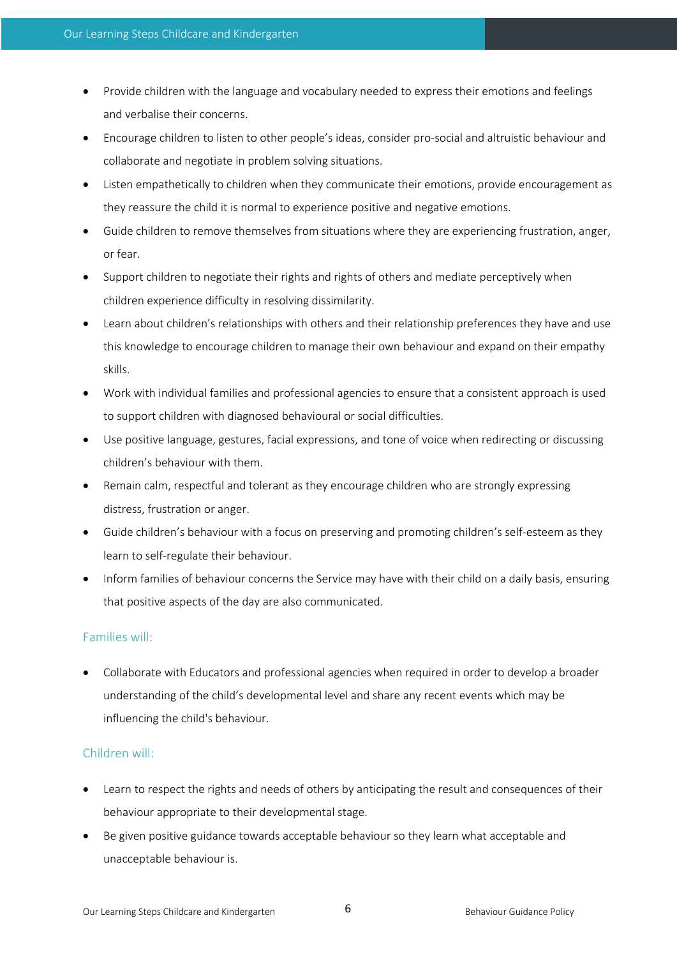- Provide children with the language and vocabulary needed to express their emotions and feelings and verbalise their concerns.
- Encourage children to listen to other people's ideas, consider pro-social and altruistic behaviour and collaborate and negotiate in problem solving situations.
- Listen empathetically to children when they communicate their emotions, provide encouragement as they reassure the child it is normal to experience positive and negative emotions.
- Guide children to remove themselves from situations where they are experiencing frustration, anger, or fear.
- Support children to negotiate their rights and rights of others and mediate perceptively when children experience difficulty in resolving dissimilarity.
- Learn about children's relationships with others and their relationship preferences they have and use this knowledge to encourage children to manage their own behaviour and expand on their empathy skills.
- Work with individual families and professional agencies to ensure that a consistent approach is used to support children with diagnosed behavioural or social difficulties.
- Use positive language, gestures, facial expressions, and tone of voice when redirecting or discussing children's behaviour with them.
- Remain calm, respectful and tolerant as they encourage children who are strongly expressing distress, frustration or anger.
- Guide children's behaviour with a focus on preserving and promoting children's self-esteem as they learn to self-regulate their behaviour.
- Inform families of behaviour concerns the Service may have with their child on a daily basis, ensuring that positive aspects of the day are also communicated.

# Families will:

• Collaborate with Educators and professional agencies when required in order to develop a broader understanding of the child's developmental level and share any recent events which may be influencing the child's behaviour.

# Children will:

- Learn to respect the rights and needs of others by anticipating the result and consequences of their behaviour appropriate to their developmental stage.
- Be given positive guidance towards acceptable behaviour so they learn what acceptable and unacceptable behaviour is.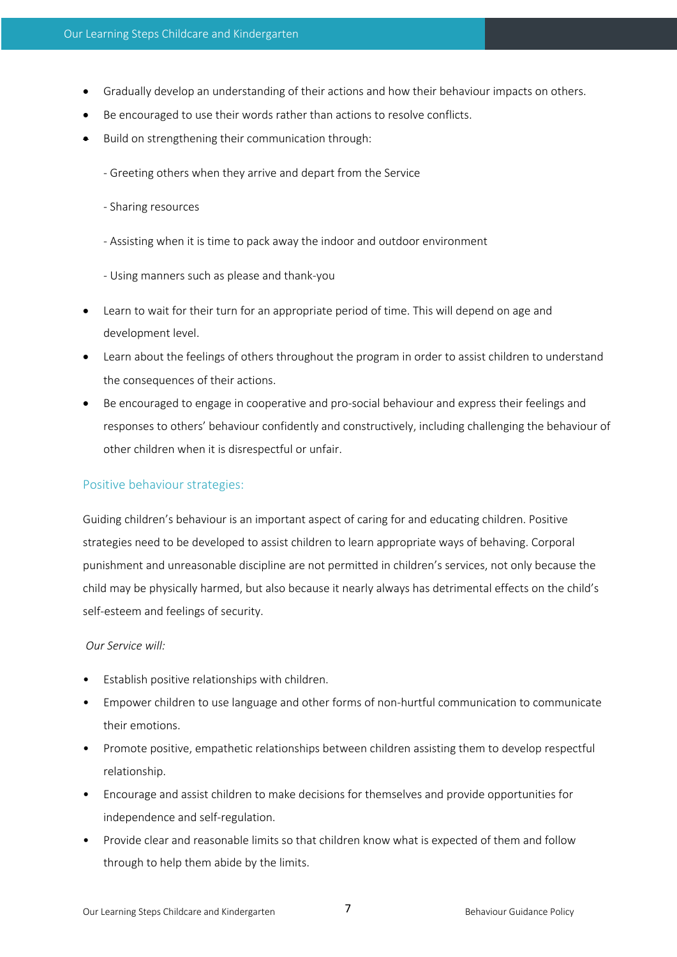- Gradually develop an understanding of their actions and how their behaviour impacts on others.
- Be encouraged to use their words rather than actions to resolve conflicts.
- Build on strengthening their communication through:
	- Greeting others when they arrive and depart from the Service
	- Sharing resources
	- Assisting when it is time to pack away the indoor and outdoor environment
	- Using manners such as please and thank-you
- Learn to wait for their turn for an appropriate period of time. This will depend on age and development level.
- Learn about the feelings of others throughout the program in order to assist children to understand the consequences of their actions.
- Be encouraged to engage in cooperative and pro-social behaviour and express their feelings and responses to others' behaviour confidently and constructively, including challenging the behaviour of other children when it is disrespectful or unfair.

# Positive behaviour strategies:

Guiding children's behaviour is an important aspect of caring for and educating children. Positive strategies need to be developed to assist children to learn appropriate ways of behaving. Corporal punishment and unreasonable discipline are not permitted in children's services, not only because the child may be physically harmed, but also because it nearly always has detrimental effects on the child's self-esteem and feelings of security.

#### *Our Service will:*

- Establish positive relationships with children.
- Empower children to use language and other forms of non-hurtful communication to communicate their emotions.
- Promote positive, empathetic relationships between children assisting them to develop respectful relationship.
- Encourage and assist children to make decisions for themselves and provide opportunities for independence and self-regulation.
- Provide clear and reasonable limits so that children know what is expected of them and follow through to help them abide by the limits.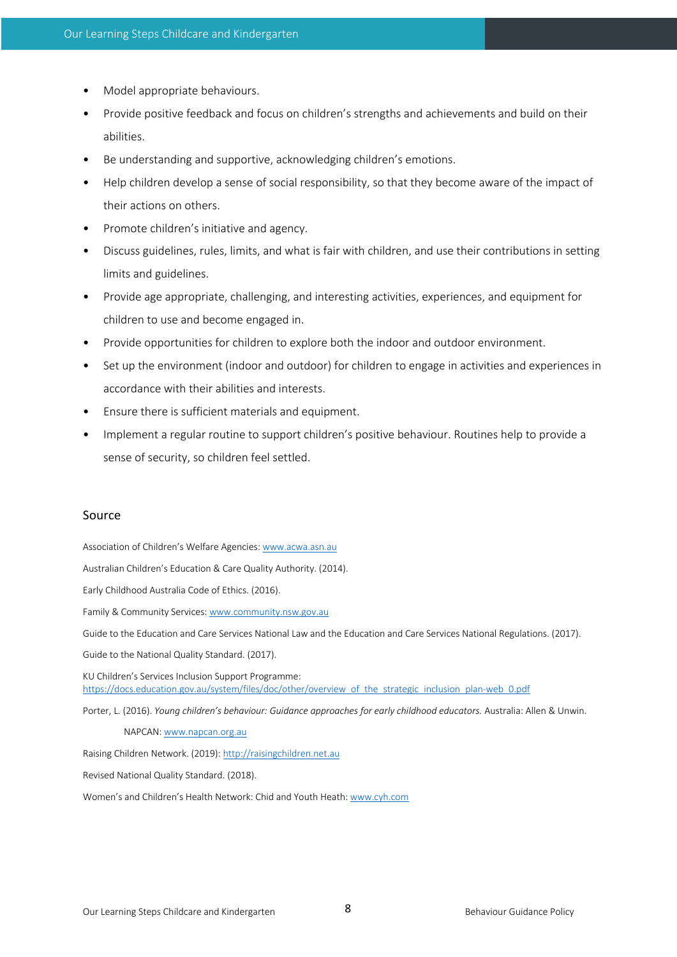- Model appropriate behaviours.
- Provide positive feedback and focus on children's strengths and achievements and build on their abilities.
- Be understanding and supportive, acknowledging children's emotions.
- Help children develop a sense of social responsibility, so that they become aware of the impact of their actions on others.
- Promote children's initiative and agency.
- Discuss guidelines, rules, limits, and what is fair with children, and use their contributions in setting limits and guidelines.
- Provide age appropriate, challenging, and interesting activities, experiences, and equipment for children to use and become engaged in.
- Provide opportunities for children to explore both the indoor and outdoor environment.
- Set up the environment (indoor and outdoor) for children to engage in activities and experiences in accordance with their abilities and interests.
- Ensure there is sufficient materials and equipment.
- Implement a regular routine to support children's positive behaviour. Routines help to provide a sense of security, so children feel settled.

#### Source

Association of Children's Welfare Agencies: www.acwa.asn.au

Australian Children's Education & Care Quality Authority. (2014).

Early Childhood Australia Code of Ethics. (2016).

Family & Community Services: www.community.nsw.gov.au

Guide to the Education and Care Services National Law and the Education and Care Services National Regulations. (2017).

Guide to the National Quality Standard. (2017).

KU Children's Services Inclusion Support Programme: https://docs.education.gov.au/system/files/doc/other/overview\_of\_the\_strategic\_inclusion\_plan-web\_0.pdf

Porter, L. (2016). *Young children's behaviour: Guidance approaches for early childhood educators.* Australia: Allen & Unwin.

NAPCAN: www.napcan.org.au

Raising Children Network. (2019): http://raisingchildren.net.au

Revised National Quality Standard. (2018).

Women's and Children's Health Network: Chid and Youth Heath: www.cyh.com